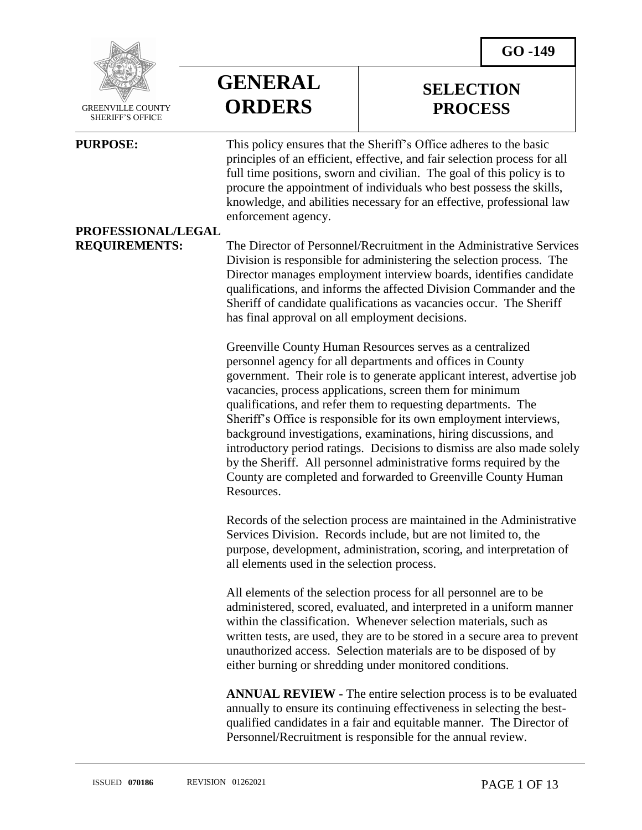

 GREENVILLE COUNTY SHERIFF'S OFFICE

 $\overline{a}$ 

**GENERAL ORDERS**

### **SELECTION PROCESS**

**PURPOSE:** This policy ensures that the Sheriff's Office adheres to the basic principles of an efficient, effective, and fair selection process for all full time positions, sworn and civilian. The goal of this policy is to procure the appointment of individuals who best possess the skills, knowledge, and abilities necessary for an effective, professional law enforcement agency.

### **PROFESSIONAL/LEGAL**

**REQUIREMENTS:** The Director of Personnel/Recruitment in the Administrative Services Division is responsible for administering the selection process. The Director manages employment interview boards, identifies candidate qualifications, and informs the affected Division Commander and the Sheriff of candidate qualifications as vacancies occur. The Sheriff has final approval on all employment decisions.

> Greenville County Human Resources serves as a centralized personnel agency for all departments and offices in County government. Their role is to generate applicant interest, advertise job vacancies, process applications, screen them for minimum qualifications, and refer them to requesting departments. The Sheriff's Office is responsible for its own employment interviews, background investigations, examinations, hiring discussions, and introductory period ratings. Decisions to dismiss are also made solely by the Sheriff. All personnel administrative forms required by the County are completed and forwarded to Greenville County Human Resources.

> Records of the selection process are maintained in the Administrative Services Division. Records include, but are not limited to, the purpose, development, administration, scoring, and interpretation of all elements used in the selection process.

> All elements of the selection process for all personnel are to be administered, scored, evaluated, and interpreted in a uniform manner within the classification. Whenever selection materials, such as written tests, are used, they are to be stored in a secure area to prevent unauthorized access. Selection materials are to be disposed of by either burning or shredding under monitored conditions.

> **ANNUAL REVIEW -** The entire selection process is to be evaluated annually to ensure its continuing effectiveness in selecting the bestqualified candidates in a fair and equitable manner. The Director of Personnel/Recruitment is responsible for the annual review.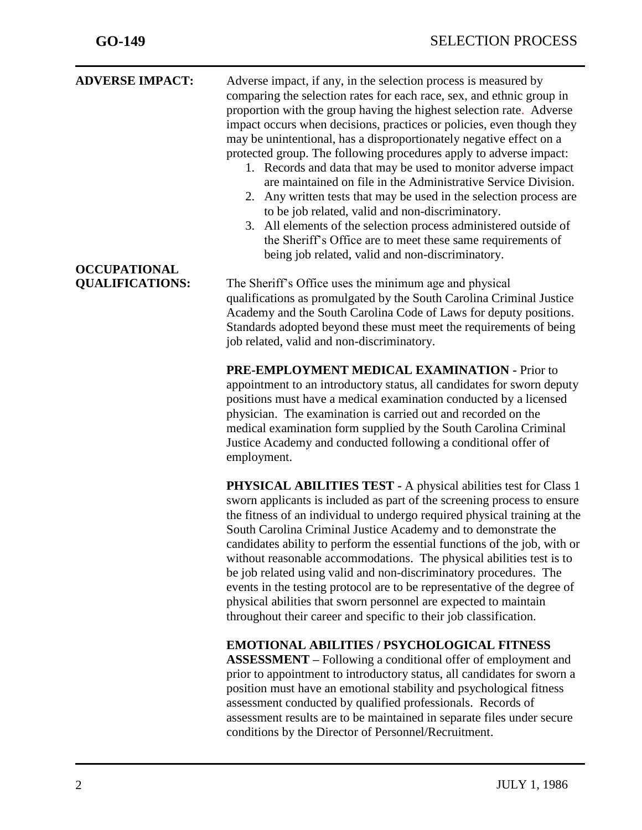| <b>ADVERSE IMPACT:</b>                        | Adverse impact, if any, in the selection process is measured by<br>comparing the selection rates for each race, sex, and ethnic group in<br>proportion with the group having the highest selection rate. Adverse<br>impact occurs when decisions, practices or policies, even though they<br>may be unintentional, has a disproportionately negative effect on a<br>protected group. The following procedures apply to adverse impact:<br>1. Records and data that may be used to monitor adverse impact<br>are maintained on file in the Administrative Service Division.<br>2. Any written tests that may be used in the selection process are<br>to be job related, valid and non-discriminatory.<br>3. All elements of the selection process administered outside of<br>the Sheriff's Office are to meet these same requirements of<br>being job related, valid and non-discriminatory. |
|-----------------------------------------------|---------------------------------------------------------------------------------------------------------------------------------------------------------------------------------------------------------------------------------------------------------------------------------------------------------------------------------------------------------------------------------------------------------------------------------------------------------------------------------------------------------------------------------------------------------------------------------------------------------------------------------------------------------------------------------------------------------------------------------------------------------------------------------------------------------------------------------------------------------------------------------------------|
| <b>OCCUPATIONAL</b><br><b>QUALIFICATIONS:</b> | The Sheriff's Office uses the minimum age and physical<br>qualifications as promulgated by the South Carolina Criminal Justice<br>Academy and the South Carolina Code of Laws for deputy positions.<br>Standards adopted beyond these must meet the requirements of being<br>job related, valid and non-discriminatory.                                                                                                                                                                                                                                                                                                                                                                                                                                                                                                                                                                     |
|                                               | PRE-EMPLOYMENT MEDICAL EXAMINATION - Prior to<br>appointment to an introductory status, all candidates for sworn deputy<br>positions must have a medical examination conducted by a licensed<br>physician. The examination is carried out and recorded on the<br>medical examination form supplied by the South Carolina Criminal<br>Justice Academy and conducted following a conditional offer of<br>employment.                                                                                                                                                                                                                                                                                                                                                                                                                                                                          |
|                                               | PHYSICAL ABILITIES TEST - A physical abilities test for Class 1<br>sworn applicants is included as part of the screening process to ensure<br>the fitness of an individual to undergo required physical training at the<br>South Carolina Criminal Justice Academy and to demonstrate the<br>candidates ability to perform the essential functions of the job, with or<br>without reasonable accommodations. The physical abilities test is to<br>be job related using valid and non-discriminatory procedures. The<br>events in the testing protocol are to be representative of the degree of<br>physical abilities that sworn personnel are expected to maintain<br>throughout their career and specific to their job classification.                                                                                                                                                    |
|                                               | <b>EMOTIONAL ABILITIES / PSYCHOLOGICAL FITNESS</b><br><b>ASSESSMENT</b> – Following a conditional offer of employment and<br>prior to appointment to introductory status, all candidates for sworn a<br>position must have an emotional stability and psychological fitness<br>assessment conducted by qualified professionals. Records of<br>assessment results are to be maintained in separate files under secure<br>conditions by the Director of Personnel/Recruitment.                                                                                                                                                                                                                                                                                                                                                                                                                |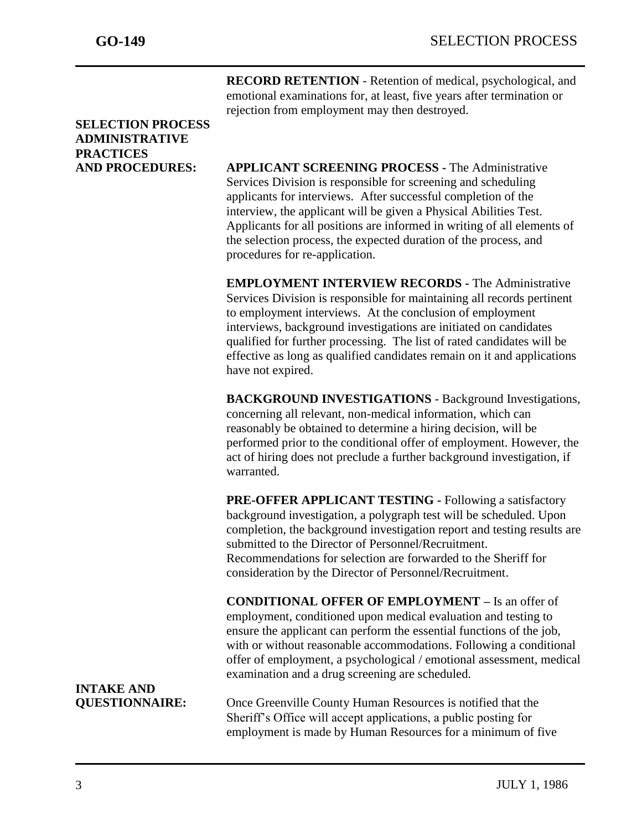**RECORD RETENTION** - Retention of medical, psychological, and emotional examinations for, at least, five years after termination or rejection from employment may then destroyed.

### **SELECTION PROCESS ADMINISTRATIVE PRACTICES**

**AND PROCEDURES: APPLICANT SCREENING PROCESS -** The Administrative Services Division is responsible for screening and scheduling applicants for interviews. After successful completion of the interview, the applicant will be given a Physical Abilities Test. Applicants for all positions are informed in writing of all elements of the selection process, the expected duration of the process, and procedures for re-application.

> **EMPLOYMENT INTERVIEW RECORDS -** The Administrative Services Division is responsible for maintaining all records pertinent to employment interviews. At the conclusion of employment interviews, background investigations are initiated on candidates qualified for further processing. The list of rated candidates will be effective as long as qualified candidates remain on it and applications have not expired.

**BACKGROUND INVESTIGATIONS** - Background Investigations, concerning all relevant, non-medical information, which can reasonably be obtained to determine a hiring decision, will be performed prior to the conditional offer of employment. However, the act of hiring does not preclude a further background investigation, if warranted.

**PRE-OFFER APPLICANT TESTING -** Following a satisfactory background investigation, a polygraph test will be scheduled. Upon completion, the background investigation report and testing results are submitted to the Director of Personnel/Recruitment. Recommendations for selection are forwarded to the Sheriff for consideration by the Director of Personnel/Recruitment.

**CONDITIONAL OFFER OF EMPLOYMENT –** Is an offer of employment, conditioned upon medical evaluation and testing to ensure the applicant can perform the essential functions of the job, with or without reasonable accommodations. Following a conditional offer of employment, a psychological / emotional assessment, medical examination and a drug screening are scheduled.

# **INTAKE AND**

**QUESTIONNAIRE:** Once Greenville County Human Resources is notified that the Sheriff's Office will accept applications, a public posting for employment is made by Human Resources for a minimum of five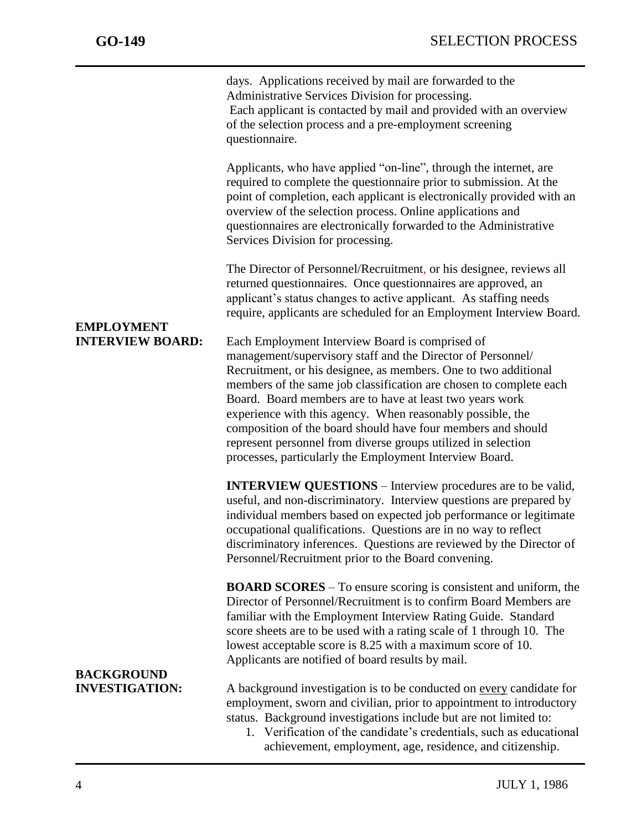days. Applications received by mail are forwarded to the Administrative Services Division for processing. Each applicant is contacted by mail and provided with an overview of the selection process and a pre-employment screening questionnaire. Applicants, who have applied "on-line", through the internet, are required to complete the questionnaire prior to submission. At the point of completion, each applicant is electronically provided with an overview of the selection process. Online applications and questionnaires are electronically forwarded to the Administrative Services Division for processing. The Director of Personnel/Recruitment, or his designee, reviews all returned questionnaires. Once questionnaires are approved, an applicant's status changes to active applicant. As staffing needs require, applicants are scheduled for an Employment Interview Board. **EMPLOYMENT INTERVIEW BOARD:** Each Employment Interview Board is comprised of management/supervisory staff and the Director of Personnel/ Recruitment, or his designee, as members. One to two additional members of the same job classification are chosen to complete each Board. Board members are to have at least two years work experience with this agency. When reasonably possible, the composition of the board should have four members and should represent personnel from diverse groups utilized in selection processes, particularly the Employment Interview Board. **INTERVIEW QUESTIONS** – Interview procedures are to be valid, useful, and non-discriminatory. Interview questions are prepared by individual members based on expected job performance or legitimate occupational qualifications. Questions are in no way to reflect discriminatory inferences. Questions are reviewed by the Director of Personnel/Recruitment prior to the Board convening. **BOARD SCORES** – To ensure scoring is consistent and uniform, the Director of Personnel/Recruitment is to confirm Board Members are familiar with the Employment Interview Rating Guide. Standard score sheets are to be used with a rating scale of 1 through 10. The lowest acceptable score is 8.25 with a maximum score of 10. Applicants are notified of board results by mail. **BACKGROUND INVESTIGATION:** A background investigation is to be conducted on every candidate for employment, sworn and civilian, prior to appointment to introductory status. Background investigations include but are not limited to:

> 1. Verification of the candidate's credentials, such as educational achievement, employment, age, residence, and citizenship.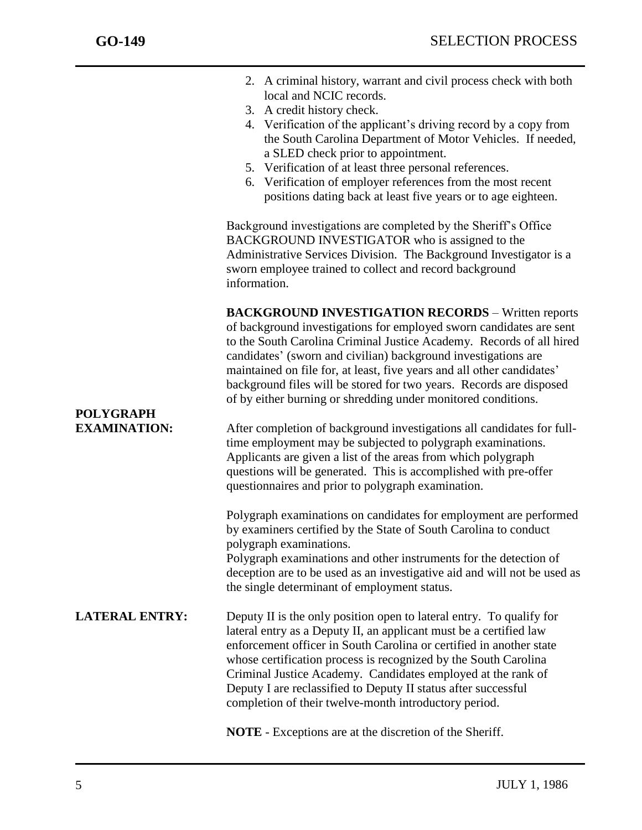|                                  | 2. A criminal history, warrant and civil process check with both<br>local and NCIC records.                                                                                                                                                                                                                                                                                                                                                                                                  |
|----------------------------------|----------------------------------------------------------------------------------------------------------------------------------------------------------------------------------------------------------------------------------------------------------------------------------------------------------------------------------------------------------------------------------------------------------------------------------------------------------------------------------------------|
|                                  | 3. A credit history check.                                                                                                                                                                                                                                                                                                                                                                                                                                                                   |
|                                  | 4. Verification of the applicant's driving record by a copy from<br>the South Carolina Department of Motor Vehicles. If needed,                                                                                                                                                                                                                                                                                                                                                              |
|                                  | a SLED check prior to appointment.                                                                                                                                                                                                                                                                                                                                                                                                                                                           |
|                                  | 5. Verification of at least three personal references.                                                                                                                                                                                                                                                                                                                                                                                                                                       |
|                                  | 6. Verification of employer references from the most recent                                                                                                                                                                                                                                                                                                                                                                                                                                  |
|                                  | positions dating back at least five years or to age eighteen.                                                                                                                                                                                                                                                                                                                                                                                                                                |
|                                  | Background investigations are completed by the Sheriff's Office<br>BACKGROUND INVESTIGATOR who is assigned to the<br>Administrative Services Division. The Background Investigator is a<br>sworn employee trained to collect and record background<br>information.                                                                                                                                                                                                                           |
|                                  | <b>BACKGROUND INVESTIGATION RECORDS - Written reports</b><br>of background investigations for employed sworn candidates are sent<br>to the South Carolina Criminal Justice Academy. Records of all hired<br>candidates' (sworn and civilian) background investigations are<br>maintained on file for, at least, five years and all other candidates'<br>background files will be stored for two years. Records are disposed<br>of by either burning or shredding under monitored conditions. |
| POLYGRAPH<br><b>EXAMINATION:</b> | After completion of background investigations all candidates for full-<br>time employment may be subjected to polygraph examinations.<br>Applicants are given a list of the areas from which polygraph<br>questions will be generated. This is accomplished with pre-offer<br>questionnaires and prior to polygraph examination.                                                                                                                                                             |
|                                  | Polygraph examinations on candidates for employment are performed<br>by examiners certified by the State of South Carolina to conduct<br>polygraph examinations.                                                                                                                                                                                                                                                                                                                             |
|                                  | Polygraph examinations and other instruments for the detection of<br>deception are to be used as an investigative aid and will not be used as<br>the single determinant of employment status.                                                                                                                                                                                                                                                                                                |
| <b>LATERAL ENTRY:</b>            | Deputy II is the only position open to lateral entry. To qualify for<br>lateral entry as a Deputy II, an applicant must be a certified law<br>enforcement officer in South Carolina or certified in another state<br>whose certification process is recognized by the South Carolina<br>Criminal Justice Academy. Candidates employed at the rank of<br>Deputy I are reclassified to Deputy II status after successful<br>completion of their twelve-month introductory period.              |
|                                  | <b>NOTE</b> - Exceptions are at the discretion of the Sheriff.                                                                                                                                                                                                                                                                                                                                                                                                                               |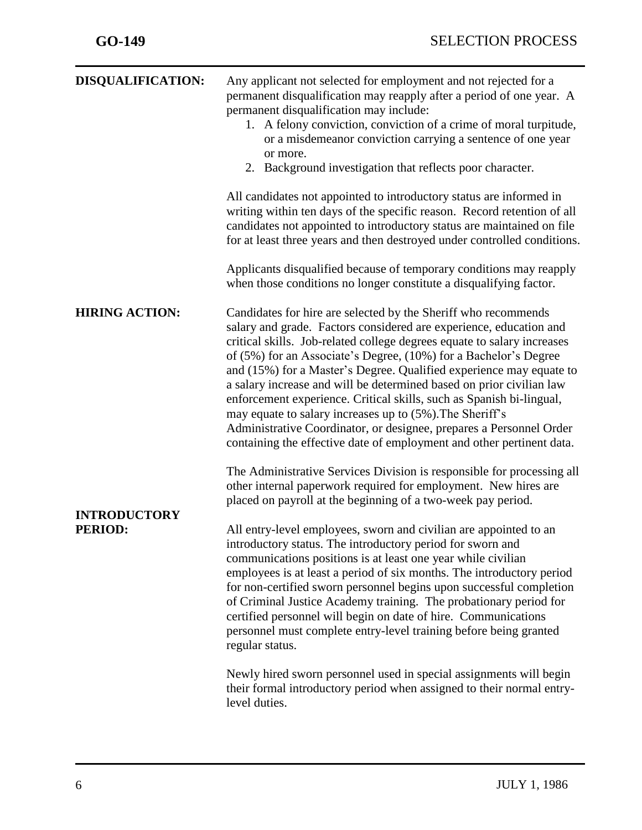| <b>DISQUALIFICATION:</b>              | Any applicant not selected for employment and not rejected for a<br>permanent disqualification may reapply after a period of one year. A<br>permanent disqualification may include:<br>1. A felony conviction, conviction of a crime of moral turpitude,<br>or a misdemeanor conviction carrying a sentence of one year<br>or more.<br>2. Background investigation that reflects poor character.<br>All candidates not appointed to introductory status are informed in<br>writing within ten days of the specific reason. Record retention of all<br>candidates not appointed to introductory status are maintained on file<br>for at least three years and then destroyed under controlled conditions.<br>Applicants disqualified because of temporary conditions may reapply<br>when those conditions no longer constitute a disqualifying factor.             |
|---------------------------------------|-------------------------------------------------------------------------------------------------------------------------------------------------------------------------------------------------------------------------------------------------------------------------------------------------------------------------------------------------------------------------------------------------------------------------------------------------------------------------------------------------------------------------------------------------------------------------------------------------------------------------------------------------------------------------------------------------------------------------------------------------------------------------------------------------------------------------------------------------------------------|
| <b>HIRING ACTION:</b>                 | Candidates for hire are selected by the Sheriff who recommends<br>salary and grade. Factors considered are experience, education and<br>critical skills. Job-related college degrees equate to salary increases<br>of (5%) for an Associate's Degree, (10%) for a Bachelor's Degree<br>and (15%) for a Master's Degree. Qualified experience may equate to<br>a salary increase and will be determined based on prior civilian law<br>enforcement experience. Critical skills, such as Spanish bi-lingual,<br>may equate to salary increases up to (5%). The Sheriff's<br>Administrative Coordinator, or designee, prepares a Personnel Order<br>containing the effective date of employment and other pertinent data.                                                                                                                                            |
| <b>INTRODUCTORY</b><br><b>PERIOD:</b> | The Administrative Services Division is responsible for processing all<br>other internal paperwork required for employment. New hires are<br>placed on payroll at the beginning of a two-week pay period.<br>All entry-level employees, sworn and civilian are appointed to an<br>introductory status. The introductory period for sworn and<br>communications positions is at least one year while civilian<br>employees is at least a period of six months. The introductory period<br>for non-certified sworn personnel begins upon successful completion<br>of Criminal Justice Academy training. The probationary period for<br>certified personnel will begin on date of hire. Communications<br>personnel must complete entry-level training before being granted<br>regular status.<br>Newly hired sworn personnel used in special assignments will begin |
|                                       | their formal introductory period when assigned to their normal entry-<br>level duties.                                                                                                                                                                                                                                                                                                                                                                                                                                                                                                                                                                                                                                                                                                                                                                            |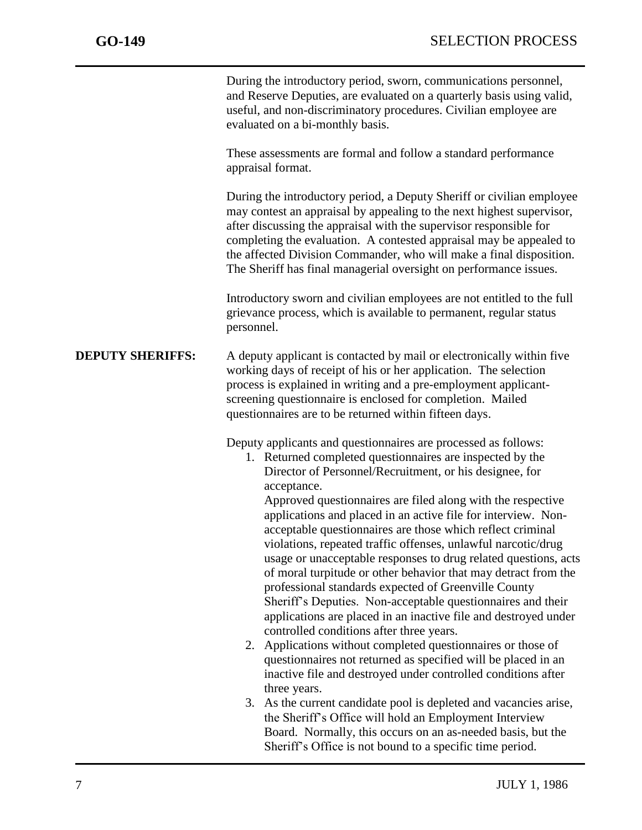During the introductory period, sworn, communications personnel, and Reserve Deputies, are evaluated on a quarterly basis using valid, useful, and non-discriminatory procedures. Civilian employee are evaluated on a bi-monthly basis.

These assessments are formal and follow a standard performance appraisal format.

During the introductory period, a Deputy Sheriff or civilian employee may contest an appraisal by appealing to the next highest supervisor, after discussing the appraisal with the supervisor responsible for completing the evaluation. A contested appraisal may be appealed to the affected Division Commander, who will make a final disposition. The Sheriff has final managerial oversight on performance issues.

Introductory sworn and civilian employees are not entitled to the full grievance process, which is available to permanent, regular status personnel.

#### **DEPUTY SHERIFFS:** A deputy applicant is contacted by mail or electronically within five working days of receipt of his or her application. The selection process is explained in writing and a pre-employment applicantscreening questionnaire is enclosed for completion. Mailed questionnaires are to be returned within fifteen days.

Deputy applicants and questionnaires are processed as follows:

1. Returned completed questionnaires are inspected by the Director of Personnel/Recruitment, or his designee, for acceptance.

Approved questionnaires are filed along with the respective applications and placed in an active file for interview. Nonacceptable questionnaires are those which reflect criminal violations, repeated traffic offenses, unlawful narcotic/drug usage or unacceptable responses to drug related questions, acts of moral turpitude or other behavior that may detract from the professional standards expected of Greenville County Sheriff's Deputies. Non-acceptable questionnaires and their applications are placed in an inactive file and destroyed under controlled conditions after three years.

- 2. Applications without completed questionnaires or those of questionnaires not returned as specified will be placed in an inactive file and destroyed under controlled conditions after three years.
- 3. As the current candidate pool is depleted and vacancies arise, the Sheriff's Office will hold an Employment Interview Board. Normally, this occurs on an as-needed basis, but the Sheriff's Office is not bound to a specific time period.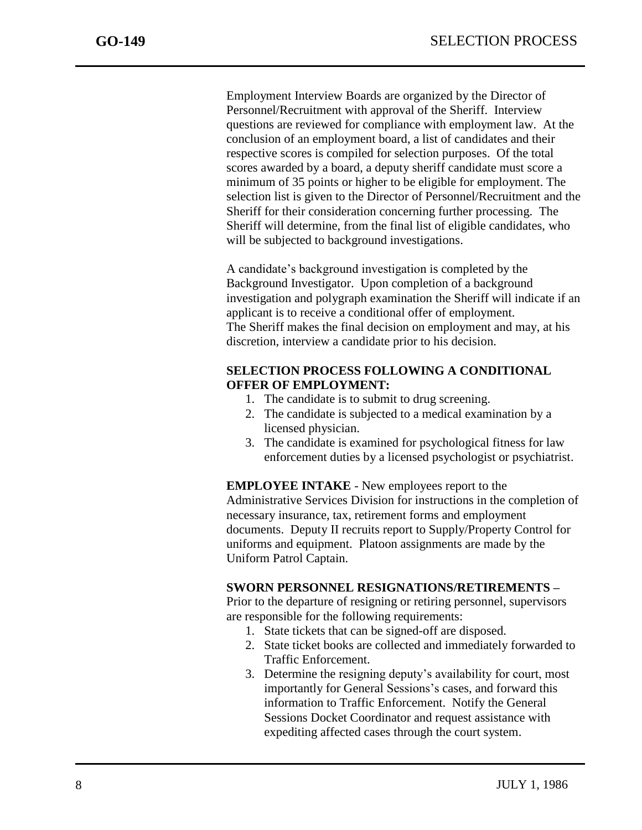Employment Interview Boards are organized by the Director of Personnel/Recruitment with approval of the Sheriff. Interview questions are reviewed for compliance with employment law. At the conclusion of an employment board, a list of candidates and their respective scores is compiled for selection purposes. Of the total scores awarded by a board, a deputy sheriff candidate must score a minimum of 35 points or higher to be eligible for employment. The selection list is given to the Director of Personnel/Recruitment and the Sheriff for their consideration concerning further processing. The Sheriff will determine, from the final list of eligible candidates, who will be subjected to background investigations.

A candidate's background investigation is completed by the Background Investigator. Upon completion of a background investigation and polygraph examination the Sheriff will indicate if an applicant is to receive a conditional offer of employment. The Sheriff makes the final decision on employment and may, at his discretion, interview a candidate prior to his decision.

#### **SELECTION PROCESS FOLLOWING A CONDITIONAL OFFER OF EMPLOYMENT:**

- 1. The candidate is to submit to drug screening.
- 2. The candidate is subjected to a medical examination by a licensed physician.
- 3. The candidate is examined for psychological fitness for law enforcement duties by a licensed psychologist or psychiatrist.

**EMPLOYEE INTAKE** - New employees report to the Administrative Services Division for instructions in the completion of necessary insurance, tax, retirement forms and employment documents. Deputy II recruits report to Supply/Property Control for uniforms and equipment. Platoon assignments are made by the Uniform Patrol Captain.

### **SWORN PERSONNEL RESIGNATIONS/RETIREMENTS –**

Prior to the departure of resigning or retiring personnel, supervisors are responsible for the following requirements:

- 1. State tickets that can be signed-off are disposed.
- 2. State ticket books are collected and immediately forwarded to Traffic Enforcement.
- 3. Determine the resigning deputy's availability for court, most importantly for General Sessions's cases, and forward this information to Traffic Enforcement. Notify the General Sessions Docket Coordinator and request assistance with expediting affected cases through the court system.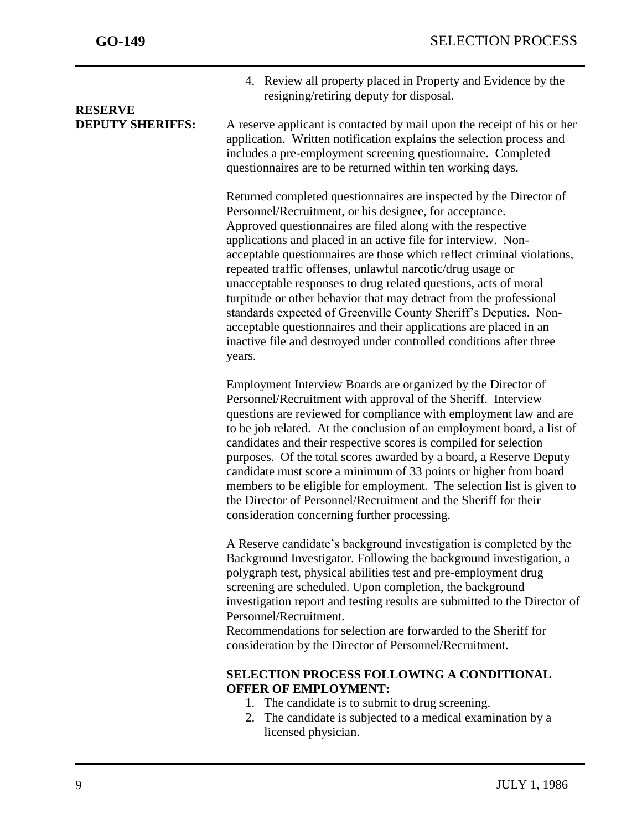**RESERVE** 

j

4. Review all property placed in Property and Evidence by the resigning/retiring deputy for disposal.

**DEPUTY SHERIFFS:** A reserve applicant is contacted by mail upon the receipt of his or her application. Written notification explains the selection process and includes a pre-employment screening questionnaire. Completed questionnaires are to be returned within ten working days.

> Returned completed questionnaires are inspected by the Director of Personnel/Recruitment, or his designee, for acceptance. Approved questionnaires are filed along with the respective applications and placed in an active file for interview. Nonacceptable questionnaires are those which reflect criminal violations, repeated traffic offenses, unlawful narcotic/drug usage or unacceptable responses to drug related questions, acts of moral turpitude or other behavior that may detract from the professional standards expected of Greenville County Sheriff's Deputies. Nonacceptable questionnaires and their applications are placed in an inactive file and destroyed under controlled conditions after three years.

Employment Interview Boards are organized by the Director of Personnel/Recruitment with approval of the Sheriff. Interview questions are reviewed for compliance with employment law and are to be job related. At the conclusion of an employment board, a list of candidates and their respective scores is compiled for selection purposes. Of the total scores awarded by a board, a Reserve Deputy candidate must score a minimum of 33 points or higher from board members to be eligible for employment. The selection list is given to the Director of Personnel/Recruitment and the Sheriff for their consideration concerning further processing.

A Reserve candidate's background investigation is completed by the Background Investigator. Following the background investigation, a polygraph test, physical abilities test and pre-employment drug screening are scheduled. Upon completion, the background investigation report and testing results are submitted to the Director of Personnel/Recruitment.

Recommendations for selection are forwarded to the Sheriff for consideration by the Director of Personnel/Recruitment.

### **SELECTION PROCESS FOLLOWING A CONDITIONAL OFFER OF EMPLOYMENT:**

- 1. The candidate is to submit to drug screening.
- 2. The candidate is subjected to a medical examination by a licensed physician.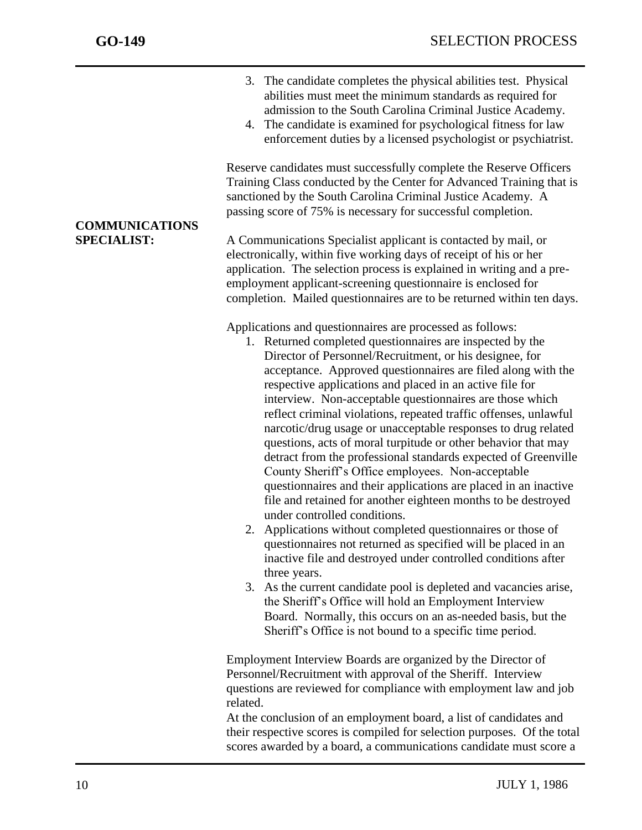- 3. The candidate completes the physical abilities test. Physical abilities must meet the minimum standards as required for admission to the South Carolina Criminal Justice Academy.
- 4. The candidate is examined for psychological fitness for law enforcement duties by a licensed psychologist or psychiatrist.

Reserve candidates must successfully complete the Reserve Officers Training Class conducted by the Center for Advanced Training that is sanctioned by the South Carolina Criminal Justice Academy. A passing score of 75% is necessary for successful completion.

**SPECIALIST:** A Communications Specialist applicant is contacted by mail, or electronically, within five working days of receipt of his or her application. The selection process is explained in writing and a preemployment applicant-screening questionnaire is enclosed for completion. Mailed questionnaires are to be returned within ten days.

Applications and questionnaires are processed as follows:

- 1. Returned completed questionnaires are inspected by the Director of Personnel/Recruitment, or his designee, for acceptance. Approved questionnaires are filed along with the respective applications and placed in an active file for interview. Non-acceptable questionnaires are those which reflect criminal violations, repeated traffic offenses, unlawful narcotic/drug usage or unacceptable responses to drug related questions, acts of moral turpitude or other behavior that may detract from the professional standards expected of Greenville County Sheriff's Office employees. Non-acceptable questionnaires and their applications are placed in an inactive file and retained for another eighteen months to be destroyed under controlled conditions.
- 2. Applications without completed questionnaires or those of questionnaires not returned as specified will be placed in an inactive file and destroyed under controlled conditions after three years.
- 3. As the current candidate pool is depleted and vacancies arise, the Sheriff's Office will hold an Employment Interview Board. Normally, this occurs on an as-needed basis, but the Sheriff's Office is not bound to a specific time period.

Employment Interview Boards are organized by the Director of Personnel/Recruitment with approval of the Sheriff. Interview questions are reviewed for compliance with employment law and job related.

At the conclusion of an employment board, a list of candidates and their respective scores is compiled for selection purposes. Of the total scores awarded by a board, a communications candidate must score a

# **COMMUNICATIONS**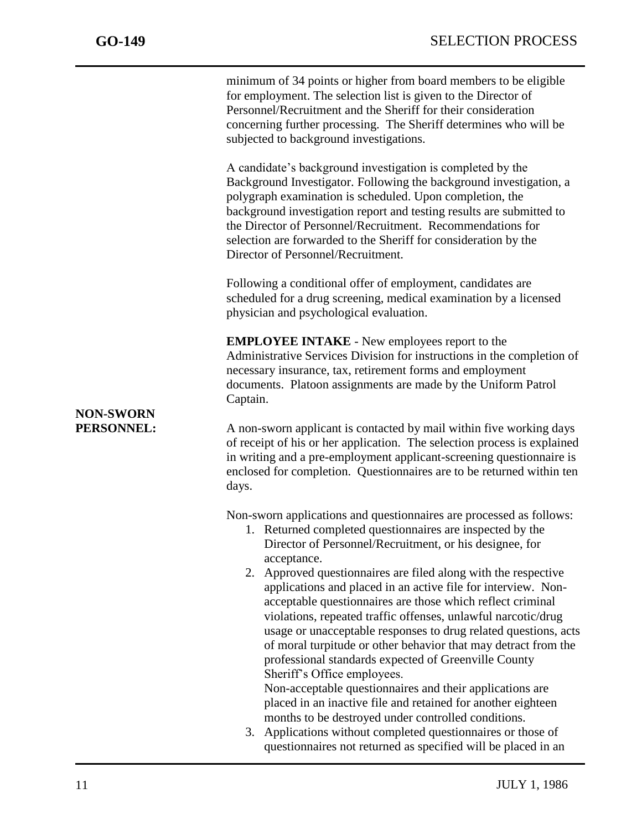minimum of 34 points or higher from board members to be eligible for employment. The selection list is given to the Director of Personnel/Recruitment and the Sheriff for their consideration concerning further processing. The Sheriff determines who will be subjected to background investigations.

A candidate's background investigation is completed by the Background Investigator. Following the background investigation, a polygraph examination is scheduled. Upon completion, the background investigation report and testing results are submitted to the Director of Personnel/Recruitment. Recommendations for selection are forwarded to the Sheriff for consideration by the Director of Personnel/Recruitment.

Following a conditional offer of employment, candidates are scheduled for a drug screening, medical examination by a licensed physician and psychological evaluation.

**EMPLOYEE INTAKE** - New employees report to the Administrative Services Division for instructions in the completion of necessary insurance, tax, retirement forms and employment documents. Platoon assignments are made by the Uniform Patrol Captain.

## **NON-SWORN**

**PERSONNEL:** A non-sworn applicant is contacted by mail within five working days of receipt of his or her application. The selection process is explained in writing and a pre-employment applicant-screening questionnaire is enclosed for completion. Questionnaires are to be returned within ten days.

Non-sworn applications and questionnaires are processed as follows:

- 1. Returned completed questionnaires are inspected by the Director of Personnel/Recruitment, or his designee, for acceptance.
- 2. Approved questionnaires are filed along with the respective applications and placed in an active file for interview. Nonacceptable questionnaires are those which reflect criminal violations, repeated traffic offenses, unlawful narcotic/drug usage or unacceptable responses to drug related questions, acts of moral turpitude or other behavior that may detract from the professional standards expected of Greenville County Sheriff's Office employees.

Non-acceptable questionnaires and their applications are placed in an inactive file and retained for another eighteen months to be destroyed under controlled conditions.

3. Applications without completed questionnaires or those of questionnaires not returned as specified will be placed in an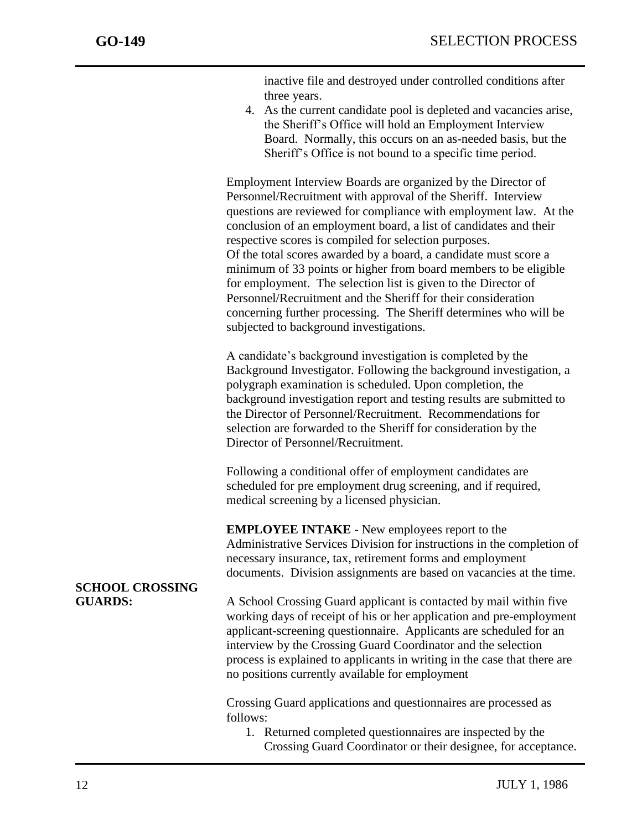inactive file and destroyed under controlled conditions after three years.

4. As the current candidate pool is depleted and vacancies arise, the Sheriff's Office will hold an Employment Interview Board. Normally, this occurs on an as-needed basis, but the Sheriff's Office is not bound to a specific time period.

Employment Interview Boards are organized by the Director of Personnel/Recruitment with approval of the Sheriff. Interview questions are reviewed for compliance with employment law. At the conclusion of an employment board, a list of candidates and their respective scores is compiled for selection purposes. Of the total scores awarded by a board, a candidate must score a minimum of 33 points or higher from board members to be eligible for employment. The selection list is given to the Director of Personnel/Recruitment and the Sheriff for their consideration concerning further processing. The Sheriff determines who will be subjected to background investigations.

A candidate's background investigation is completed by the Background Investigator. Following the background investigation, a polygraph examination is scheduled. Upon completion, the background investigation report and testing results are submitted to the Director of Personnel/Recruitment. Recommendations for selection are forwarded to the Sheriff for consideration by the Director of Personnel/Recruitment.

Following a conditional offer of employment candidates are scheduled for pre employment drug screening, and if required, medical screening by a licensed physician.

**EMPLOYEE INTAKE** - New employees report to the Administrative Services Division for instructions in the completion of necessary insurance, tax, retirement forms and employment documents. Division assignments are based on vacancies at the time.

# **SCHOOL CROSSING**

**GUARDS:** A School Crossing Guard applicant is contacted by mail within five working days of receipt of his or her application and pre-employment applicant-screening questionnaire. Applicants are scheduled for an interview by the Crossing Guard Coordinator and the selection process is explained to applicants in writing in the case that there are no positions currently available for employment

> Crossing Guard applications and questionnaires are processed as follows:

1. Returned completed questionnaires are inspected by the Crossing Guard Coordinator or their designee, for acceptance.